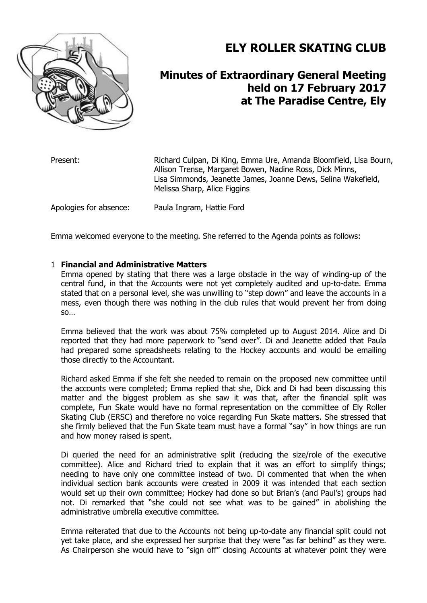

# **ELY ROLLER SKATING CLUB**

# **Minutes of Extraordinary General Meeting held on 17 February 2017 at The Paradise Centre, Ely**

Present: Richard Culpan, Di King, Emma Ure, Amanda Bloomfield, Lisa Bourn, Allison Trense, Margaret Bowen, Nadine Ross, Dick Minns, Lisa Simmonds, Jeanette James, Joanne Dews, Selina Wakefield, Melissa Sharp, Alice Figgins

Apologies for absence: Paula Ingram, Hattie Ford

Emma welcomed everyone to the meeting. She referred to the Agenda points as follows:

# 1 **Financial and Administrative Matters**

Emma opened by stating that there was a large obstacle in the way of winding-up of the central fund, in that the Accounts were not yet completely audited and up-to-date. Emma stated that on a personal level, she was unwilling to "step down" and leave the accounts in a mess, even though there was nothing in the club rules that would prevent her from doing so…

Emma believed that the work was about 75% completed up to August 2014. Alice and Di reported that they had more paperwork to "send over". Di and Jeanette added that Paula had prepared some spreadsheets relating to the Hockey accounts and would be emailing those directly to the Accountant.

Richard asked Emma if she felt she needed to remain on the proposed new committee until the accounts were completed; Emma replied that she, Dick and Di had been discussing this matter and the biggest problem as she saw it was that, after the financial split was complete, Fun Skate would have no formal representation on the committee of Ely Roller Skating Club (ERSC) and therefore no voice regarding Fun Skate matters. She stressed that she firmly believed that the Fun Skate team must have a formal "say" in how things are run and how money raised is spent.

Di queried the need for an administrative split (reducing the size/role of the executive committee). Alice and Richard tried to explain that it was an effort to simplify things; needing to have only one committee instead of two. Di commented that when the when individual section bank accounts were created in 2009 it was intended that each section would set up their own committee; Hockey had done so but Brian's (and Paul's) groups had not. Di remarked that "she could not see what was to be gained" in abolishing the administrative umbrella executive committee.

Emma reiterated that due to the Accounts not being up-to-date any financial split could not yet take place, and she expressed her surprise that they were "as far behind" as they were. As Chairperson she would have to "sign off" closing Accounts at whatever point they were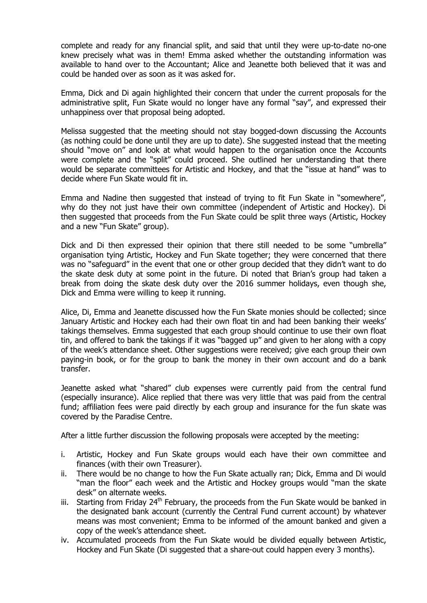complete and ready for any financial split, and said that until they were up-to-date no-one knew precisely what was in them! Emma asked whether the outstanding information was available to hand over to the Accountant; Alice and Jeanette both believed that it was and could be handed over as soon as it was asked for.

Emma, Dick and Di again highlighted their concern that under the current proposals for the administrative split, Fun Skate would no longer have any formal "say", and expressed their unhappiness over that proposal being adopted.

Melissa suggested that the meeting should not stay bogged-down discussing the Accounts (as nothing could be done until they are up to date). She suggested instead that the meeting should "move on" and look at what would happen to the organisation once the Accounts were complete and the "split" could proceed. She outlined her understanding that there would be separate committees for Artistic and Hockey, and that the "issue at hand" was to decide where Fun Skate would fit in.

Emma and Nadine then suggested that instead of trying to fit Fun Skate in "somewhere", why do they not just have their own committee (independent of Artistic and Hockey). Di then suggested that proceeds from the Fun Skate could be split three ways (Artistic, Hockey and a new "Fun Skate" group).

Dick and Di then expressed their opinion that there still needed to be some "umbrella" organisation tying Artistic, Hockey and Fun Skate together; they were concerned that there was no "safeguard" in the event that one or other group decided that they didn't want to do the skate desk duty at some point in the future. Di noted that Brian's group had taken a break from doing the skate desk duty over the 2016 summer holidays, even though she, Dick and Emma were willing to keep it running.

Alice, Di, Emma and Jeanette discussed how the Fun Skate monies should be collected; since January Artistic and Hockey each had their own float tin and had been banking their weeks' takings themselves. Emma suggested that each group should continue to use their own float tin, and offered to bank the takings if it was "bagged up" and given to her along with a copy of the week's attendance sheet. Other suggestions were received; give each group their own paying-in book, or for the group to bank the money in their own account and do a bank transfer.

Jeanette asked what "shared" club expenses were currently paid from the central fund (especially insurance). Alice replied that there was very little that was paid from the central fund; affiliation fees were paid directly by each group and insurance for the fun skate was covered by the Paradise Centre.

After a little further discussion the following proposals were accepted by the meeting:

- i. Artistic, Hockey and Fun Skate groups would each have their own committee and finances (with their own Treasurer).
- ii. There would be no change to how the Fun Skate actually ran; Dick, Emma and Di would "man the floor" each week and the Artistic and Hockey groups would "man the skate desk" on alternate weeks.
- iii. Starting from Friday  $24<sup>th</sup>$  February, the proceeds from the Fun Skate would be banked in the designated bank account (currently the Central Fund current account) by whatever means was most convenient; Emma to be informed of the amount banked and given a copy of the week's attendance sheet.
- iv. Accumulated proceeds from the Fun Skate would be divided equally between Artistic, Hockey and Fun Skate (Di suggested that a share-out could happen every 3 months).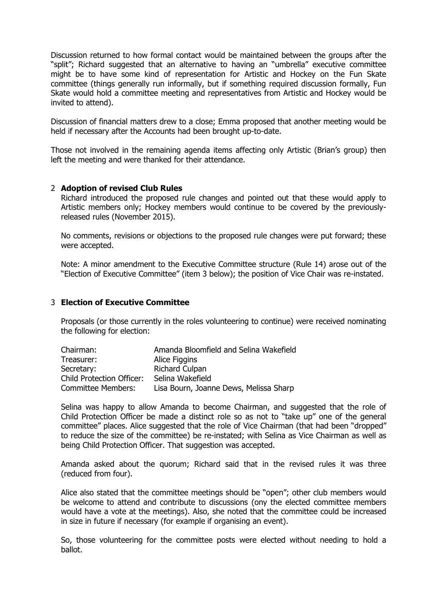Discussion returned to how formal contact would be maintained between the groups after the "split"; Richard suggested that an alternative to having an "umbrella" executive committee might be to have some kind of representation for Artistic and Hockey on the Fun Skate committee (things generally run informally, but if something required discussion formally, Fun Skate would hold a committee meeting and representatives from Artistic and Hockey would be invited to attend).

Discussion of financial matters drew to a close; Emma proposed that another meeting would be held if necessary after the Accounts had been brought up-to-date.

Those not involved in the remaining agenda items affecting only Artistic (Brian's group) then left the meeting and were thanked for their attendance.

#### 2 **Adoption of revised Club Rules**

Richard introduced the proposed rule changes and pointed out that these would apply to Artistic members only; Hockey members would continue to be covered by the previouslyreleased rules (November 2015).

No comments, revisions or objections to the proposed rule changes were put forward; these were accepted.

Note: A minor amendment to the Executive Committee structure (Rule 14) arose out of the "Election of Executive Committee" (item 3 below); the position of Vice Chair was re-instated.

### 3 **Election of Executive Committee**

Proposals (or those currently in the roles volunteering to continue) were received nominating the following for election:

| Chairman:                        | Amanda Bloomfield and Selina Wakefield |
|----------------------------------|----------------------------------------|
| Treasurer:                       | Alice Figgins                          |
| Secretary:                       | <b>Richard Culpan</b>                  |
| <b>Child Protection Officer:</b> | Selina Wakefield                       |
| <b>Committee Members:</b>        | Lisa Bourn, Joanne Dews, Melissa Sharp |

Selina was happy to allow Amanda to become Chairman, and suggested that the role of Child Protection Officer be made a distinct role so as not to "take up" one of the general committee" places. Alice suggested that the role of Vice Chairman (that had been "dropped" to reduce the size of the committee) be re-instated; with Selina as Vice Chairman as well as being Child Protection Officer. That suggestion was accepted.

Amanda asked about the quorum; Richard said that in the revised rules it was three (reduced from four).

Alice also stated that the committee meetings should be "open"; other club members would be welcome to attend and contribute to discussions (ony the elected committee members would have a vote at the meetings). Also, she noted that the committee could be increased in size in future if necessary (for example if organising an event).

So, those volunteering for the committee posts were elected without needing to hold a ballot.